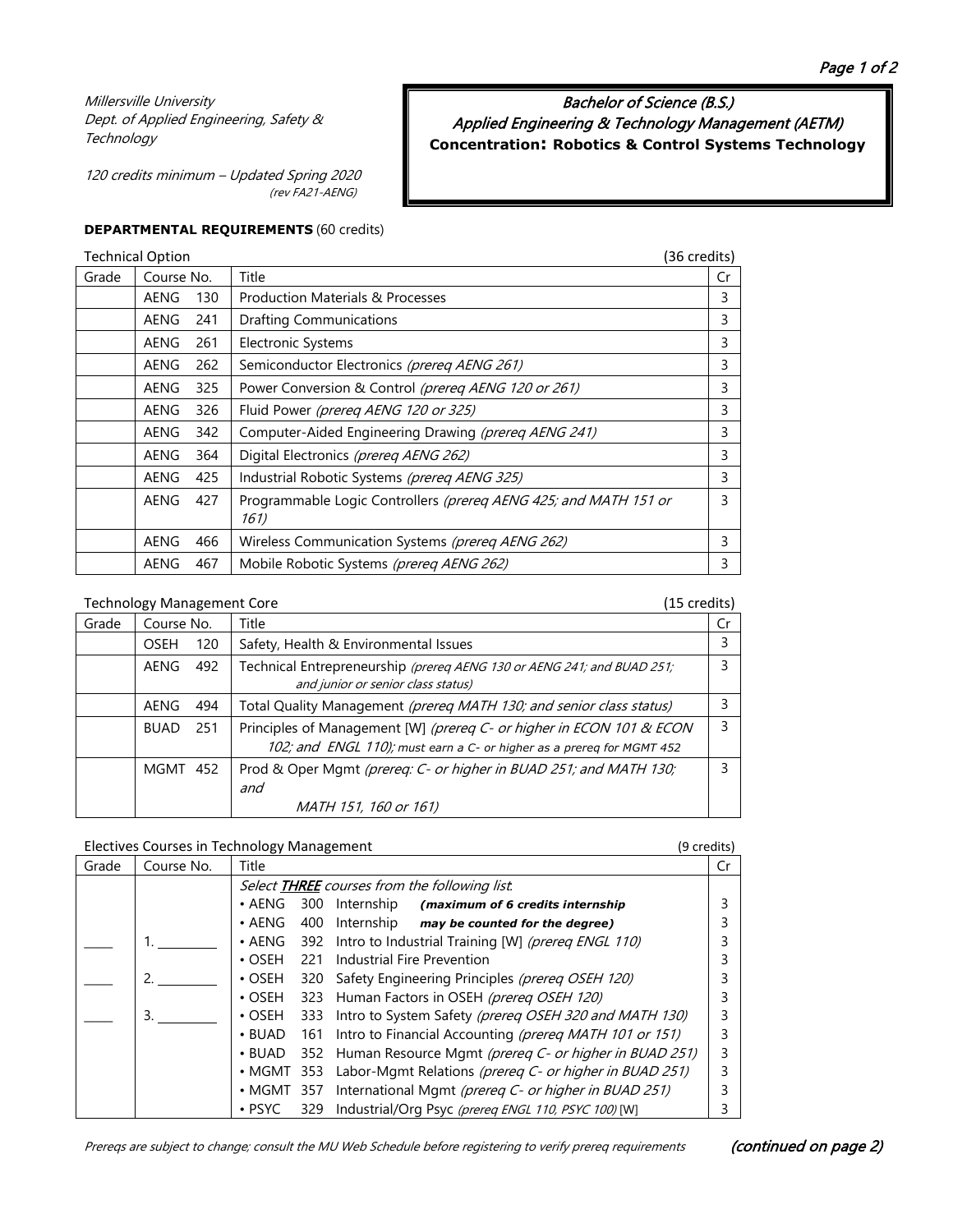120 credits minimum – Updated Spring 2020 (rev FA21-AENG)

#### **DEPARTMENTAL REQUIREMENTS** (60 credits)

|       | <b>Technical Option</b><br>(36 credits) |     |                                                                  |    |  |
|-------|-----------------------------------------|-----|------------------------------------------------------------------|----|--|
| Grade | Course No.                              |     | Title                                                            | Cr |  |
|       | AENG                                    | 130 | <b>Production Materials &amp; Processes</b>                      | 3  |  |
|       | AENG                                    | 241 | <b>Drafting Communications</b>                                   | 3  |  |
|       | AENG                                    | 261 | Electronic Systems                                               | 3  |  |
|       | AENG                                    | 262 | Semiconductor Electronics (prereq AENG 261)                      | 3  |  |
|       | AENG                                    | 325 | Power Conversion & Control (prereg AENG 120 or 261)              | 3  |  |
|       | AENG                                    | 326 | Fluid Power (prereg AENG 120 or 325)                             | 3  |  |
|       | AENG                                    | 342 | Computer-Aided Engineering Drawing (prereg AENG 241)             | 3  |  |
|       | AENG                                    | 364 | Digital Electronics (prereq AENG 262)                            | 3  |  |
|       | AENG                                    | 425 | Industrial Robotic Systems (prereq AENG 325)                     | 3  |  |
|       | AENG                                    | 427 | Programmable Logic Controllers (prereg AENG 425; and MATH 151 or | 3  |  |
|       |                                         |     | 161)                                                             |    |  |
|       | AENG                                    | 466 | Wireless Communication Systems (prereq AENG 262)                 | 3  |  |
|       | AENG                                    | 467 | Mobile Robotic Systems (prereq AENG 262)                         | 3  |  |

# Technology Management Core (15 credits)

|       | <b>ICCITIOIOSY IVIGHUACHICHE COI C</b> |     |                                                                                                                                               |    |  |
|-------|----------------------------------------|-----|-----------------------------------------------------------------------------------------------------------------------------------------------|----|--|
| Grade | Course No.                             |     | Title                                                                                                                                         | Cr |  |
|       | <b>OSEH</b>                            | 120 | Safety, Health & Environmental Issues                                                                                                         | 3  |  |
|       | AENG                                   | 492 | Technical Entrepreneurship (prereg AENG 130 or AENG 241; and BUAD 251;<br>and junior or senior class status)                                  | ς  |  |
|       | AENG                                   | 494 | Total Quality Management (prereq MATH 130; and senior class status)                                                                           |    |  |
|       | <b>BUAD</b>                            | 251 | Principles of Management [W] (prereq C- or higher in ECON 101 & ECON<br>102; and ENGL 110); must earn a C- or higher as a prereq for MGMT 452 | ς  |  |
|       | MGMT 452                               |     | Prod & Oper Mgmt (prereq: C- or higher in BUAD 251; and MATH 130;<br>and<br>MATH 151, 160 or 161)                                             |    |  |

#### Electives Courses in Technology Management (9 credits)

| Grade | Course No.    | Title            |     |                                                           | Cr |
|-------|---------------|------------------|-----|-----------------------------------------------------------|----|
|       |               |                  |     | Select <b>THREE</b> courses from the following list.      |    |
|       |               | $\cdot$ AENG     | 300 | Internship<br>(maximum of 6 credits internship            |    |
|       |               | $\cdot$ AENG     | 400 | Internship<br>may be counted for the degree)              |    |
|       |               | $\cdot$ AENG     |     | 392 Intro to Industrial Training [W] (prereq ENGL 110)    |    |
|       |               | $\cdot$ OSEH     | 221 | Industrial Fire Prevention                                |    |
|       | $\mathcal{P}$ | $\cdot$ OSEH     | 320 | Safety Engineering Principles (prereg OSEH 120)           |    |
|       |               | $\cdot$ OSEH     | 323 | Human Factors in OSEH (prereq OSEH 120)                   |    |
|       | 3.            | $\cdot$ OSEH     | 333 | Intro to System Safety (prereg OSEH 320 and MATH 130)     |    |
|       |               | $\cdot$ BUAD     | 161 | Intro to Financial Accounting (prereg MATH 101 or 151)    |    |
|       |               | $\cdot$ BUAD     |     | 352 Human Resource Mgmt (prereq C- or higher in BUAD 251) |    |
|       |               | $\cdot$ MGMT 353 |     | Labor-Mgmt Relations (prereq C- or higher in BUAD 251)    |    |
|       |               | • MGMT 357       |     | International Mgmt (prereq C- or higher in BUAD 251)      |    |
|       |               | $\cdot$ PSYC     | 329 | Industrial/Org Psyc (prereq ENGL 110, PSYC 100) [W]       |    |

Bachelor of Science (B.S.) Applied Engineering & Technology Management (AETM) **Concentration: Robotics & Control Systems Technology**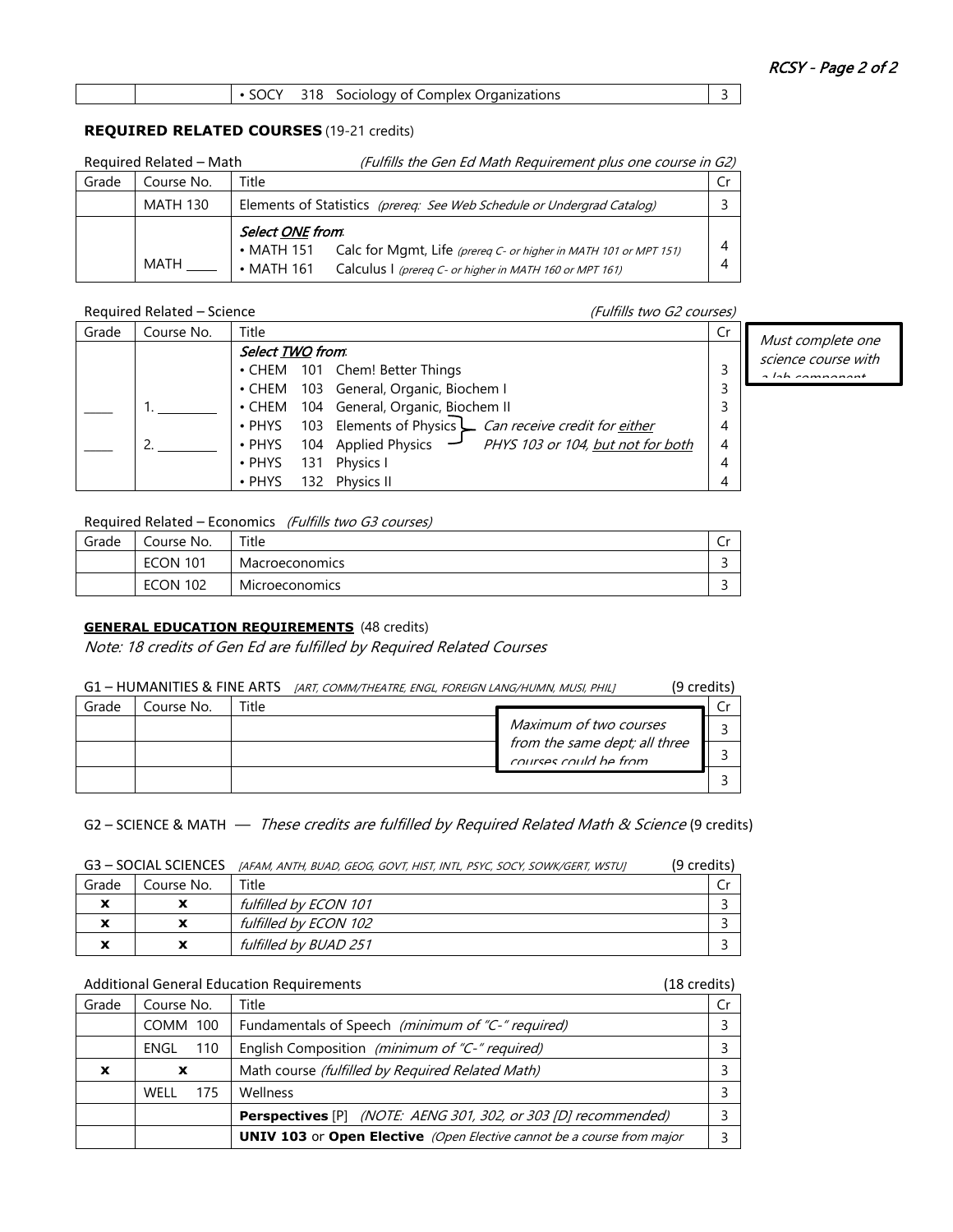| - -<br>: Organizations<br>. Complex '<br>νησΙς<br>Ωt<br>וחו־<br>ാറല<br>しつし |  |  |
|----------------------------------------------------------------------------|--|--|
|----------------------------------------------------------------------------|--|--|

# **REQUIRED RELATED COURSES** (19-21 credits)

|       | Required Related - Math | (Fulfills the Gen Ed Math Requirement plus one course in G2)                                                                                                                            |        |
|-------|-------------------------|-----------------------------------------------------------------------------------------------------------------------------------------------------------------------------------------|--------|
| Grade | Course No.              | Title                                                                                                                                                                                   | Cr     |
|       | MATH 130                | Elements of Statistics (prereq: See Web Schedule or Undergrad Catalog)                                                                                                                  |        |
|       | MATH                    | Select ONE from.<br>Calc for Mgmt, Life (prereg C- or higher in MATH 101 or MPT 151)<br>$\cdot$ MATH 151<br>$\cdot$ MATH 161<br>Calculus I (prereq C- or higher in MATH 160 or MPT 161) | 4<br>4 |

# Required Related – Science (Fulfills two G2 courses)

| Grade | Course No. | Title                                                                   | Cr | Must complete of  |
|-------|------------|-------------------------------------------------------------------------|----|-------------------|
|       |            | Select TWO from.                                                        |    | science course wi |
|       |            | • CHEM 101 Chem! Better Things                                          |    | $1$ sh component  |
|       |            | • CHEM 103 General, Organic, Biochem I                                  |    |                   |
|       |            | • CHEM 104 General, Organic, Biochem II                                 |    |                   |
|       |            | • PHYS 103 Elements of Physics   Can receive credit for either          | 4  |                   |
|       |            | 104 Applied Physics - PHYS 103 or 104, but not for both<br>$\cdot$ PHYS | 4  |                   |
|       |            | 131 Physics I<br>$\cdot$ PHYS                                           | 4  |                   |
|       |            | 132 Physics II<br>$\cdot$ PHYS                                          | 4  |                   |

## Required Related – Economics (Fulfills two G3 courses)

| Grade | Course No.      | Title                 |  |
|-------|-----------------|-----------------------|--|
|       | <b>ECON 101</b> | <b>Macroeconomics</b> |  |
|       | <b>ECON 102</b> | <b>Microeconomics</b> |  |

## **GENERAL EDUCATION REQUIREMENTS** (48 credits)

Note: 18 credits of Gen Ed are fulfilled by Required Related Courses

| G1 - HUMANITIES & FINE ARTS [ART, COMM/THEATRE, ENGL, FOREIGN LANG/HUMN, MUSI, PHILJ | (9 credits) |
|--------------------------------------------------------------------------------------|-------------|
|--------------------------------------------------------------------------------------|-------------|

| Grade | Course No. | Title |                                                        |  |
|-------|------------|-------|--------------------------------------------------------|--|
|       |            |       | Maximum of two courses                                 |  |
|       |            |       | from the same dept; all three<br>courses could be from |  |
|       |            |       |                                                        |  |

G2 – SCIENCE & MATH — These credits are fulfilled by Required Related Math & Science (9 credits)

|       |            | G3 - SOCIAL SCIENCES <i>[AFAM, ANTH, BUAD, GEOG, GOVT, HIST, INTL. PSYC, SOCY, SOWK/GERT, WSTUI</i> | (9 credits) |  |
|-------|------------|-----------------------------------------------------------------------------------------------------|-------------|--|
| Grade | Course No. | Title                                                                                               |             |  |

| $\boldsymbol{\mathcal{L}}$ | - -<br>$\overline{\phantom{a}}$ | fulfilled by ECON 101 |  |
|----------------------------|---------------------------------|-----------------------|--|
| $\boldsymbol{\mathcal{L}}$ | --<br>∼                         | fulfilled by ECON 102 |  |
| -                          | - -<br>∼                        | fulfilled by BUAD 251 |  |

# Additional General Education Requirements (18 credits)

 $\overline{\phantom{a}}$ 

| Course No.  | Title                                                                         |  |
|-------------|-------------------------------------------------------------------------------|--|
| COMM 100    | Fundamentals of Speech (minimum of "C-" required)                             |  |
| 110<br>ENGL | English Composition (minimum of "C-" required)                                |  |
| X           | Math course (fulfilled by Required Related Math)                              |  |
| WELL<br>175 | Wellness                                                                      |  |
|             | <b>Perspectives</b> [P] (NOTE: AENG 301, 302, or 303 [D] recommended)         |  |
|             | <b>UNIV 103</b> or Open Elective (Open Elective cannot be a course from major |  |
|             |                                                                               |  |

ne ith